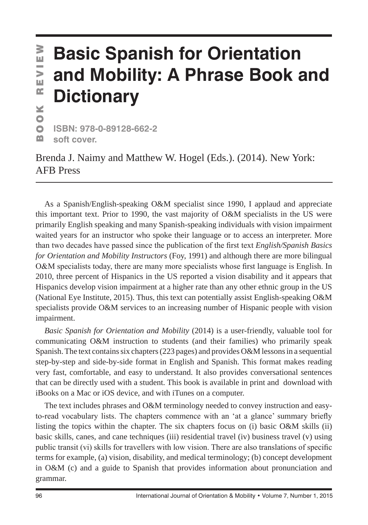## VIEW **Basic Spanish for Orientation and Mobility: A Phrase Book and**  ш  $\mathbf{C}$ **Dictionary** ×

 $\bullet$  $\bullet$ **ISBN: 978-0-89128-662-2** m **soft cover.**

Brenda J. Naimy and Matthew W. Hogel (Eds.). (2014). New York: AFB Press

As a Spanish/English-speaking O&M specialist since 1990, I applaud and appreciate this important text. Prior to 1990, the vast majority of O&M specialists in the US were primarily English speaking and many Spanish-speaking individuals with vision impairment waited years for an instructor who spoke their language or to access an interpreter. More than two decades have passed since the publication of the first text *English/Spanish Basics for Orientation and Mobility Instructors* (Foy, 1991) and although there are more bilingual O&M specialists today, there are many more specialists whose first language is English. In 2010, three percent of Hispanics in the US reported a vision disability and it appears that Hispanics develop vision impairment at a higher rate than any other ethnic group in the US (National Eye Institute, 2015). Thus, this text can potentially assist English-speaking O&M specialists provide O&M services to an increasing number of Hispanic people with vision impairment. **BOOK REVIEW SUBMARR**<br>**COURCISE**<br>**COURCISE**<br>**COURCISE**<br>**COURCISE**<br>**COURCISE**<br>**COURCISE**<br>**COURCISE**<br>**COURCISE**<br>**COURCISE**<br>**COURCISE**<br>**COURCISE**<br>**COURCISE**<br>**COURCISE**<br>**COURCISE**<br>**COURCISE**<br>**COURCISE**<br>**COURCISE**<br>**COURCISE**<br>**C** 

*Basic Spanish for Orientation and Mobility* (2014) is a user-friendly, valuable tool for communicating O&M instruction to students (and their families) who primarily speak Spanish. The text contains six chapters(223 pages) and provides O&M lessons in a sequential step-by-step and side-by-side format in English and Spanish. This format makes reading very fast, comfortable, and easy to understand. It also provides conversational sentences that can be directly used with a student. This book is available in print and download with iBooks on a Mac or iOS device, and with iTunes on a computer.

The text includes phrases and O&M terminology needed to convey instruction and easyto-read vocabulary lists. The chapters commence with an 'at a glance' summary briefly listing the topics within the chapter. The six chapters focus on (i) basic O&M skills (ii) basic skills, canes, and cane techniques (iii) residential travel (iv) business travel (v) using public transit (vi) skills for travellers with low vision. There are also translations of specific terms for example, (a) vision, disability, and medical terminology; (b) concept development in O&M (c) and a guide to Spanish that provides information about pronunciation and grammar.